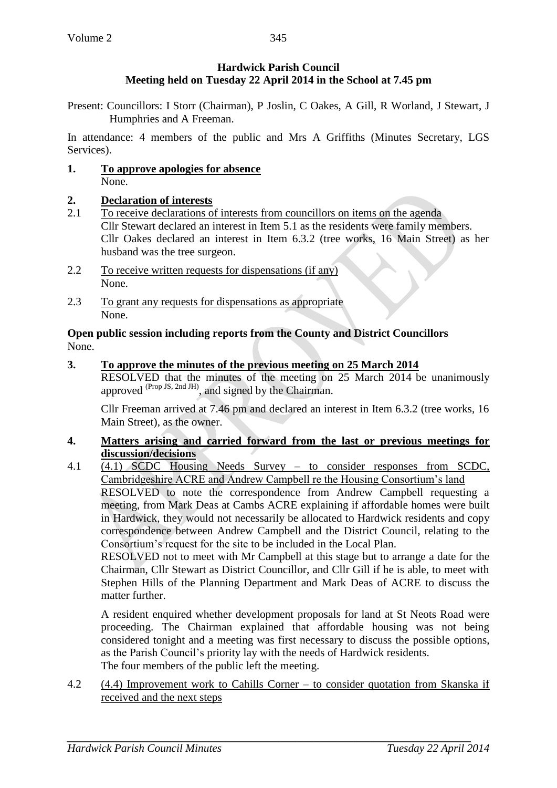# **Hardwick Parish Council Meeting held on Tuesday 22 April 2014 in the School at 7.45 pm**

Present: Councillors: I Storr (Chairman), P Joslin, C Oakes, A Gill, R Worland, J Stewart, J Humphries and A Freeman.

In attendance: 4 members of the public and Mrs A Griffiths (Minutes Secretary, LGS Services).

**1. To approve apologies for absence**  None.

# **2. Declaration of interests**

- 2.1 To receive declarations of interests from councillors on items on the agenda Cllr Stewart declared an interest in Item 5.1 as the residents were family members. Cllr Oakes declared an interest in Item 6.3.2 (tree works, 16 Main Street) as her husband was the tree surgeon.
- 2.2 To receive written requests for dispensations (if any) None.
- 2.3 To grant any requests for dispensations as appropriate None.

**Open public session including reports from the County and District Councillors** None.

## **3. To approve the minutes of the previous meeting on 25 March 2014**

RESOLVED that the minutes of the meeting on 25 March 2014 be unanimously approved <sup>(Prop JS, 2nd JH)</sup>, and signed by the Chairman.

Cllr Freeman arrived at 7.46 pm and declared an interest in Item 6.3.2 (tree works, 16 Main Street), as the owner.

## **4. Matters arising and carried forward from the last or previous meetings for discussion/decisions**

4.1 (4.1) SCDC Housing Needs Survey – to consider responses from SCDC, Cambridgeshire ACRE and Andrew Campbell re the Housing Consortium's land

RESOLVED to note the correspondence from Andrew Campbell requesting a meeting, from Mark Deas at Cambs ACRE explaining if affordable homes were built in Hardwick, they would not necessarily be allocated to Hardwick residents and copy correspondence between Andrew Campbell and the District Council, relating to the Consortium's request for the site to be included in the Local Plan.

RESOLVED not to meet with Mr Campbell at this stage but to arrange a date for the Chairman, Cllr Stewart as District Councillor, and Cllr Gill if he is able, to meet with Stephen Hills of the Planning Department and Mark Deas of ACRE to discuss the matter further.

A resident enquired whether development proposals for land at St Neots Road were proceeding. The Chairman explained that affordable housing was not being considered tonight and a meeting was first necessary to discuss the possible options, as the Parish Council's priority lay with the needs of Hardwick residents. The four members of the public left the meeting.

4.2 (4.4) Improvement work to Cahills Corner – to consider quotation from Skanska if received and the next steps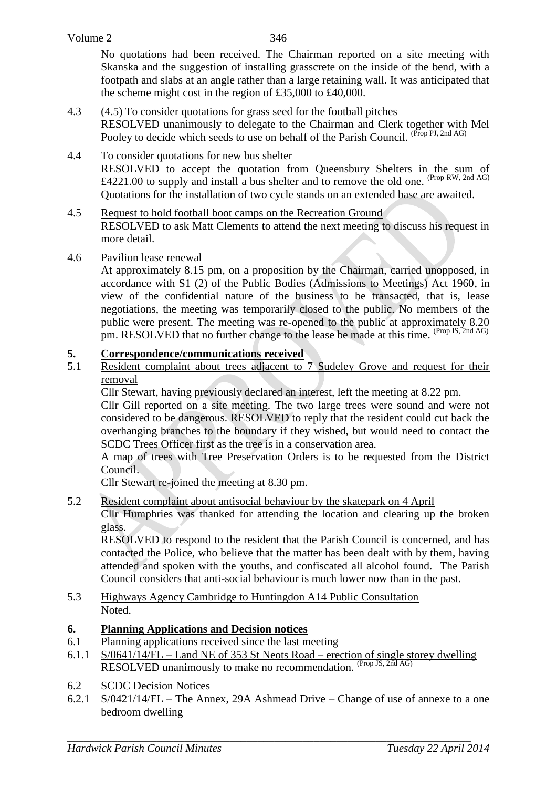346

No quotations had been received. The Chairman reported on a site meeting with Skanska and the suggestion of installing grasscrete on the inside of the bend, with a footpath and slabs at an angle rather than a large retaining wall. It was anticipated that the scheme might cost in the region of £35,000 to £40,000.

- 4.3 (4.5) To consider quotations for grass seed for the football pitches RESOLVED unanimously to delegate to the Chairman and Clerk together with Mel Pooley to decide which seeds to use on behalf of the Parish Council. (Prop PJ, 2nd AG)
- 4.4 To consider quotations for new bus shelter RESOLVED to accept the quotation from Queensbury Shelters in the sum of £4221.00 to supply and install a bus shelter and to remove the old one. <sup>(Prop RW, 2nd AG)</sup> Quotations for the installation of two cycle stands on an extended base are awaited.
- 4.5 Request to hold football boot camps on the Recreation Ground RESOLVED to ask Matt Clements to attend the next meeting to discuss his request in more detail.
- 4.6 Pavilion lease renewal

At approximately 8.15 pm, on a proposition by the Chairman, carried unopposed, in accordance with S1 (2) of the Public Bodies (Admissions to Meetings) Act 1960, in view of the confidential nature of the business to be transacted, that is, lease negotiations, the meeting was temporarily closed to the public. No members of the public were present. The meeting was re-opened to the public at approximately 8.20 pm. RESOLVED that no further change to the lease be made at this time. (Prop IS, 2nd AG)

# **5. Correspondence/communications received**

5.1 Resident complaint about trees adjacent to 7 Sudeley Grove and request for their removal

Cllr Stewart, having previously declared an interest, left the meeting at 8.22 pm.

Cllr Gill reported on a site meeting. The two large trees were sound and were not considered to be dangerous. RESOLVED to reply that the resident could cut back the overhanging branches to the boundary if they wished, but would need to contact the SCDC Trees Officer first as the tree is in a conservation area.

A map of trees with Tree Preservation Orders is to be requested from the District Council.

Cllr Stewart re-joined the meeting at 8.30 pm.

## 5.2 Resident complaint about antisocial behaviour by the skatepark on 4 April

Cllr Humphries was thanked for attending the location and clearing up the broken glass.

RESOLVED to respond to the resident that the Parish Council is concerned, and has contacted the Police, who believe that the matter has been dealt with by them, having attended and spoken with the youths, and confiscated all alcohol found. The Parish Council considers that anti-social behaviour is much lower now than in the past.

5.3 Highways Agency Cambridge to Huntingdon A14 Public Consultation Noted.

## **6. Planning Applications and Decision notices**

- 6.1 Planning applications received since the last meeting
- 6.1.1 S/0641/14/FL Land NE of 353 St Neots Road erection of single storey dwelling RESOLVED unanimously to make no recommendation. (Prop JS, 2nd AG)
- 6.2 SCDC Decision Notices
- 6.2.1 S/0421/14/FL The Annex, 29A Ashmead Drive Change of use of annexe to a one bedroom dwelling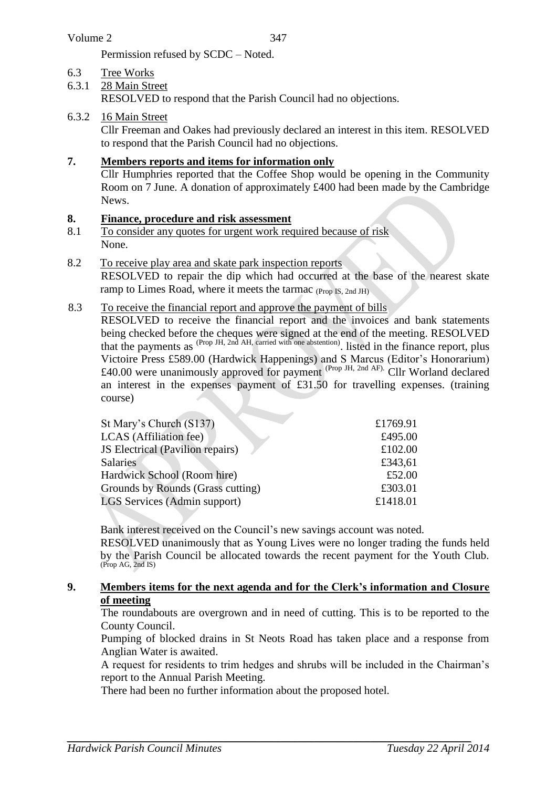Permission refused by SCDC – Noted.

## 6.3 Tree Works

## 6.3.1 28 Main Street

RESOLVED to respond that the Parish Council had no objections.

### 6.3.2 16 Main Street

Cllr Freeman and Oakes had previously declared an interest in this item. RESOLVED to respond that the Parish Council had no objections.

### **7. Members reports and items for information only**

Cllr Humphries reported that the Coffee Shop would be opening in the Community Room on 7 June. A donation of approximately £400 had been made by the Cambridge News.

#### **8. Finance, procedure and risk assessment**

- 8.1 To consider any quotes for urgent work required because of risk None.
- 8.2 To receive play area and skate park inspection reports

RESOLVED to repair the dip which had occurred at the base of the nearest skate ramp to Limes Road, where it meets the tarmac (Prop IS, 2nd JH)

#### 8.3 To receive the financial report and approve the payment of bills

RESOLVED to receive the financial report and the invoices and bank statements being checked before the cheques were signed at the end of the meeting. RESOLVED that the payments as (Prop JH, 2nd AH, carried with one abstention) . listed in the finance report, plus Victoire Press £589.00 (Hardwick Happenings) and S Marcus (Editor's Honorarium) £40.00 were unanimously approved for payment (Prop JH, 2nd AF). Cllr Worland declared an interest in the expenses payment of £31.50 for travelling expenses. (training course)

| St Mary's Church (S137)                 | £1769.91 |
|-----------------------------------------|----------|
| <b>LCAS</b> (Affiliation fee)           | £495.00  |
| <b>JS</b> Electrical (Pavilion repairs) | £102.00  |
| <b>Salaries</b>                         | £343,61  |
| Hardwick School (Room hire)             | £52.00   |
| Grounds by Rounds (Grass cutting)       | £303.01  |
| LGS Services (Admin support)            | £1418.01 |
|                                         |          |

Bank interest received on the Council's new savings account was noted.

RESOLVED unanimously that as Young Lives were no longer trading the funds held by the Parish Council be allocated towards the recent payment for the Youth Club. (Prop AG, 2nd IS)

## **9. Members items for the next agenda and for the Clerk's information and Closure of meeting**

The roundabouts are overgrown and in need of cutting. This is to be reported to the County Council.

Pumping of blocked drains in St Neots Road has taken place and a response from Anglian Water is awaited.

A request for residents to trim hedges and shrubs will be included in the Chairman's report to the Annual Parish Meeting.

There had been no further information about the proposed hotel.